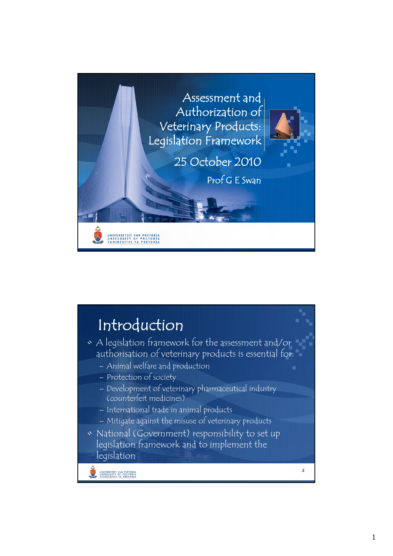

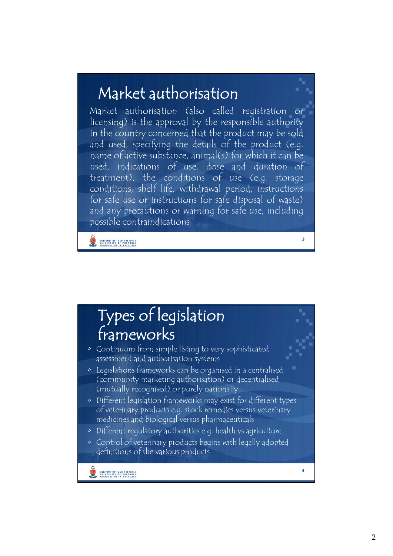## Market authorisation

Market authorisation (also called registration or licensing) is the approval by the responsible authority in the country concerned that the product may be sold and used, specifying the details of the product (e.g. name of active substance, animal(s) for which it can be used, indications of use, dose and duration of treatment), the conditions of use (e.g. storage conditions, shelf life, withdrawal period, instructions for safe use or instructions for safe disposal of waste) and any precautions or warning for safe use, including possible contraindications

**3**

**4**

UNIVERSITEIT VAN PRETORIA<br>UNIVERSITY OF PRETORIA

## Types of legislation frameworks

- Continuum from simple listing to very sophisticated assessment and authorisation systems
- Legislations frameworks can be organised in a centralised (community marketing authorisation) or decentralised (mutually recognised) or purely nationally
- Different legislation frameworks may exist for different types of veterinary products e.g. stock remedies versus veterinary medicines and biological versus pharmaceuticals
- Different regulatory authorities e.g. health vs agriculture
- Control of veterinary products begins with legally adopted definitions of the various products
	- UNIVERSITEIT VAN PRETORIA<br>UNIVERSITY OF PRETORIA<br>YUNIBESITHI YA PRETORIA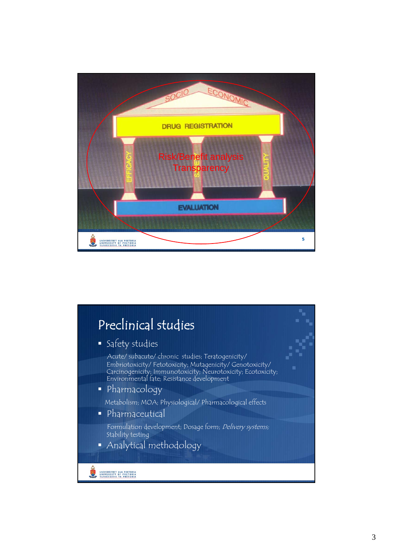

## Preclinical studies Safety studies Acute/ subacute/ chronic studies; Teratogenicity/ Embriotoxicity/Fetotoxicity; Mutagenicity/Genotoxicity/ Carcinogenicity; Immunotoxicity; Neurotoxicity; Ecotoxicity; Environmental fate; Resistance development Pharmacology Metabolism; MOA; Physiological/ Pharmacological effects • Pharmaceutical Formulation development; Dosage form; Delivery systems; Stability testing Analytical methodologyUNIVERSITEIT VAN PRETORIA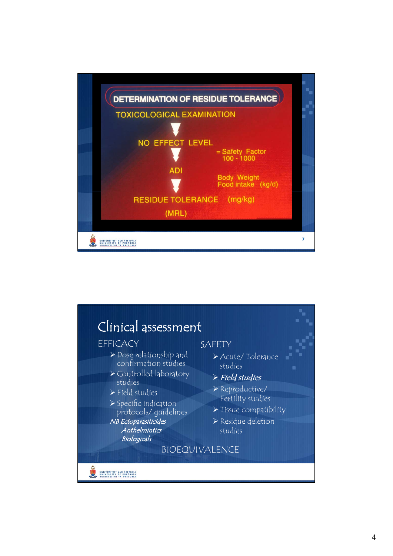

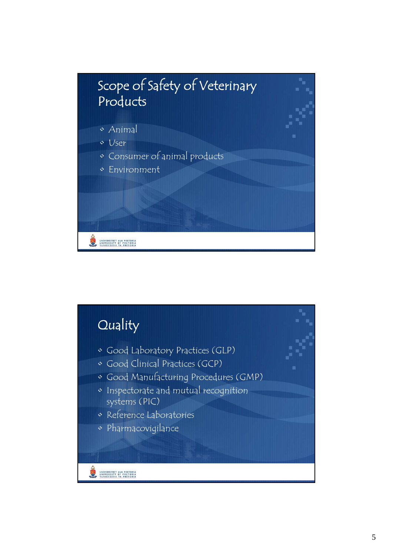

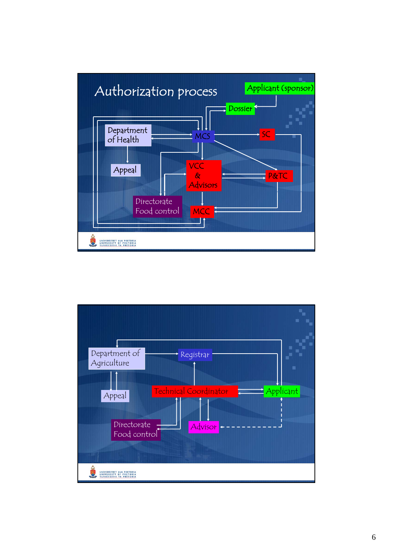